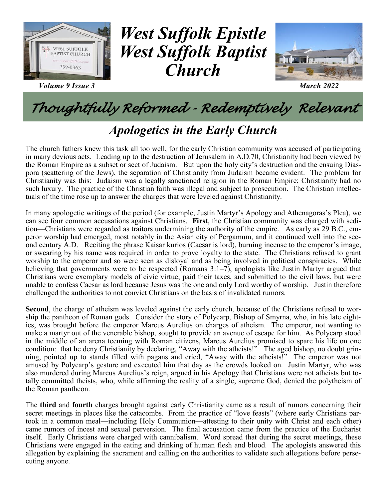

*Volume 9 Issue 3 March 2022*



### *Thoughtfully Reformed - Redemptively Relevant*

### *Apologetics in the Early Church*

The church fathers knew this task all too well, for the early Christian community was accused of participating in many devious acts. Leading up to the destruction of Jerusalem in A.D.70, Christianity had been viewed by the Roman Empire as a subset or sect of Judaism. But upon the holy city's destruction and the ensuing Diaspora (scattering of the Jews), the separation of Christianity from Judaism became evident. The problem for Christianity was this: Judaism was a legally sanctioned religion in the Roman Empire; Christianity had no such luxury. The practice of the Christian faith was illegal and subject to prosecution. The Christian intellectuals of the time rose up to answer the charges that were leveled against Christianity.

In many apologetic writings of the period (for example, Justin Martyr's Apology and Athenagoras's Plea), we can see four common accusations against Christians. **First**, the Christian community was charged with sedition—Christians were regarded as traitors undermining the authority of the empire. As early as 29 B.C., emperor worship had emerged, most notably in the Asian city of Pergamum, and it continued well into the second century A.D. Reciting the phrase Kaisar kurios (Caesar is lord), burning incense to the emperor's image, or swearing by his name was required in order to prove loyalty to the state. The Christians refused to grant worship to the emperor and so were seen as disloyal and as being involved in political conspiracies. While believing that governments were to be respected (Romans 3:1–7), apologists like Justin Martyr argued that Christians were exemplary models of civic virtue, paid their taxes, and submitted to the civil laws, but were unable to confess Caesar as lord because Jesus was the one and only Lord worthy of worship. Justin therefore challenged the authorities to not convict Christians on the basis of invalidated rumors.

**Second**, the charge of atheism was leveled against the early church, because of the Christians refusal to worship the pantheon of Roman gods. Consider the story of Polycarp, Bishop of Smyrna, who, in his late eighties, was brought before the emperor Marcus Aurelius on charges of atheism. The emperor, not wanting to make a martyr out of the venerable bishop, sought to provide an avenue of escape for him. As Polycarp stood in the middle of an arena teeming with Roman citizens, Marcus Aurelius promised to spare his life on one condition: that he deny Christianity by declaring, "Away with the atheists!" The aged bishop, no doubt grinning, pointed up to stands filled with pagans and cried, "Away with the atheists!" The emperor was not amused by Polycarp's gesture and executed him that day as the crowds looked on. Justin Martyr, who was also murdered during Marcus Aurelius's reign, argued in his Apology that Christians were not atheists but totally committed theists, who, while affirming the reality of a single, supreme God, denied the polytheism of the Roman pantheon.

The **third** and **fourth** charges brought against early Christianity came as a result of rumors concerning their secret meetings in places like the catacombs. From the practice of "love feasts" (where early Christians partook in a common meal—including Holy Communion—attesting to their unity with Christ and each other) came rumors of incest and sexual perversion. The final accusation came from the practice of the Eucharist itself. Early Christians were charged with cannibalism. Word spread that during the secret meetings, these Christians were engaged in the eating and drinking of human flesh and blood. The apologists answered this allegation by explaining the sacrament and calling on the authorities to validate such allegations before persecuting anyone.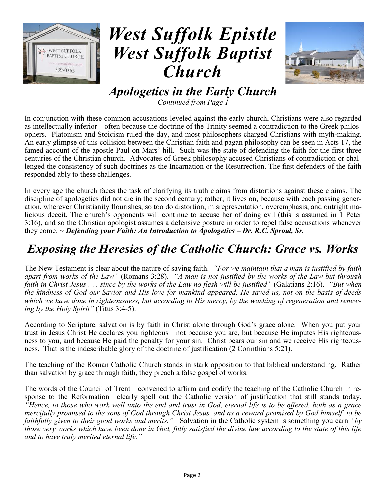

![](_page_1_Picture_2.jpeg)

*Apologetics in the Early Church*

*Continued from Page 1*

In conjunction with these common accusations leveled against the early church, Christians were also regarded as intellectually inferior—often because the doctrine of the Trinity seemed a contradiction to the Greek philosophers. Platonism and Stoicism ruled the day, and most philosophers charged Christians with myth-making. An early glimpse of this collision between the Christian faith and pagan philosophy can be seen in Acts 17, the famed account of the apostle Paul on Mars' hill. Such was the state of defending the faith for the first three centuries of the Christian church. Advocates of Greek philosophy accused Christians of contradiction or challenged the consistency of such doctrines as the Incarnation or the Resurrection. The first defenders of the faith responded ably to these challenges.

In every age the church faces the task of clarifying its truth claims from distortions against these claims. The discipline of apologetics did not die in the second century; rather, it lives on, because with each passing generation, wherever Christianity flourishes, so too do distortion, misrepresentation, overemphasis, and outright malicious deceit. The church's opponents will continue to accuse her of doing evil (this is assumed in 1 Peter 3:16), and so the Christian apologist assumes a defensive posture in order to repel false accusations whenever they come. *~ Defending your Faith: An Introduction to Apologetics – Dr. R.C. Sproul, Sr.*

### *Exposing the Heresies of the Catholic Church: Grace vs. Works*

The New Testament is clear about the nature of saving faith. *"For we maintain that a man is justified by faith apart from works of the Law"* (Romans 3:28). *"A man is not justified by the works of the Law but through faith in Christ Jesus . . . since by the works of the Law no flesh will be justified"* (Galatians 2:16). *"But when the kindness of God our Savior and His love for mankind appeared, He saved us, not on the basis of deeds which we have done in righteousness, but according to His mercy, by the washing of regeneration and renewing by the Holy Spirit"* (Titus 3:4-5).

According to Scripture, salvation is by faith in Christ alone through God's grace alone. When you put your trust in Jesus Christ He declares you righteous—not because you are, but because He imputes His righteousness to you, and because He paid the penalty for your sin. Christ bears our sin and we receive His righteousness. That is the indescribable glory of the doctrine of justification (2 Corinthians 5:21).

The teaching of the Roman Catholic Church stands in stark opposition to that biblical understanding. Rather than salvation by grace through faith, they preach a false gospel of works.

The words of the Council of Trent—convened to affirm and codify the teaching of the Catholic Church in response to the Reformation—clearly spell out the Catholic version of justification that still stands today. *"Hence, to those who work well unto the end and trust in God, eternal life is to be offered, both as a grace mercifully promised to the sons of God through Christ Jesus, and as a reward promised by God himself, to be faithfully given to their good works and merits."* Salvation in the Catholic system is something you earn *"by those very works which have been done in God, fully satisfied the divine law according to the state of this life and to have truly merited eternal life."*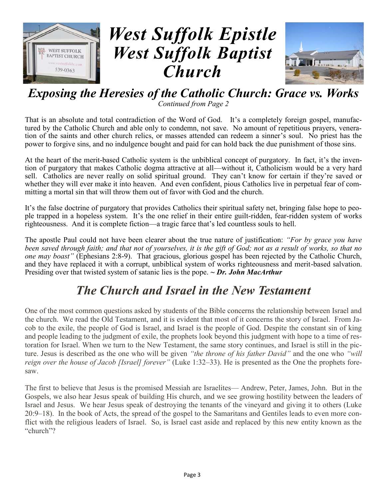![](_page_2_Picture_0.jpeg)

![](_page_2_Picture_2.jpeg)

#### *Exposing the Heresies of the Catholic Church: Grace vs. Works Continued from Page 2*

That is an absolute and total contradiction of the Word of God. It's a completely foreign gospel, manufactured by the Catholic Church and able only to condemn, not save. No amount of repetitious prayers, veneration of the saints and other church relics, or masses attended can redeem a sinner's soul. No priest has the power to forgive sins, and no indulgence bought and paid for can hold back the due punishment of those sins.

At the heart of the merit-based Catholic system is the unbiblical concept of purgatory. In fact, it's the invention of purgatory that makes Catholic dogma attractive at all—without it, Catholicism would be a very hard sell. Catholics are never really on solid spiritual ground. They can't know for certain if they're saved or whether they will ever make it into heaven. And even confident, pious Catholics live in perpetual fear of committing a mortal sin that will throw them out of favor with God and the church.

It's the false doctrine of purgatory that provides Catholics their spiritual safety net, bringing false hope to people trapped in a hopeless system. It's the one relief in their entire guilt-ridden, fear-ridden system of works righteousness. And it is complete fiction—a tragic farce that's led countless souls to hell.

The apostle Paul could not have been clearer about the true nature of justification: *"For by grace you have been saved through faith; and that not of yourselves, it is the gift of God; not as a result of works, so that no one may boast"* (Ephesians 2:8-9). That gracious, glorious gospel has been rejected by the Catholic Church, and they have replaced it with a corrupt, unbiblical system of works righteousness and merit-based salvation. Presiding over that twisted system of satanic lies is the pope. *~ Dr. John MacArthur*

### *The Church and Israel in the New Testament*

One of the most common questions asked by students of the Bible concerns the relationship between Israel and the church. We read the Old Testament, and it is evident that most of it concerns the story of Israel. From Jacob to the exile, the people of God is Israel, and Israel is the people of God. Despite the constant sin of king and people leading to the judgment of exile, the prophets look beyond this judgment with hope to a time of restoration for Israel. When we turn to the New Testament, the same story continues, and Israel is still in the picture. Jesus is described as the one who will be given *"the throne of his father David"* and the one who *"will reign over the house of Jacob [Israel] forever"* (Luke 1:32–33). He is presented as the One the prophets foresaw.

The first to believe that Jesus is the promised Messiah are Israelites— Andrew, Peter, James, John. But in the Gospels, we also hear Jesus speak of building His church, and we see growing hostility between the leaders of Israel and Jesus. We hear Jesus speak of destroying the tenants of the vineyard and giving it to others (Luke 20:9–18). In the book of Acts, the spread of the gospel to the Samaritans and Gentiles leads to even more conflict with the religious leaders of Israel. So, is Israel cast aside and replaced by this new entity known as the "church"?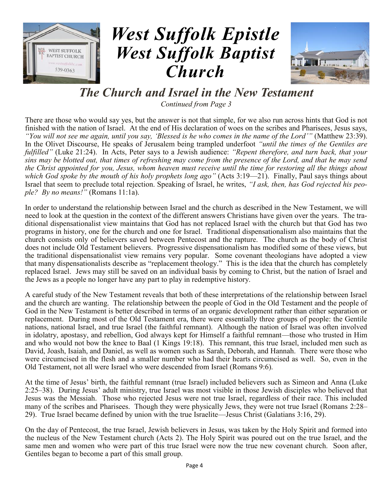![](_page_3_Picture_0.jpeg)

![](_page_3_Picture_2.jpeg)

### *The Church and Israel in the New Testament*

*Continued from Page 3*

There are those who would say yes, but the answer is not that simple, for we also run across hints that God is not finished with the nation of Israel. At the end of His declaration of woes on the scribes and Pharisees, Jesus says, *"You will not see me again, until you say, 'Blessed is he who comes in the name of the Lord'"* (Matthew 23:39). In the Olivet Discourse, He speaks of Jerusalem being trampled underfoot *"until the times of the Gentiles are fulfilled"* (Luke 21:24). In Acts, Peter says to a Jewish audience: *"Repent therefore, and turn back, that your sins may be blotted out, that times of refreshing may come from the presence of the Lord, and that he may send the Christ appointed for you, Jesus, whom heaven must receive until the time for restoring all the things about which God spoke by the mouth of his holy prophets long ago"* (Acts 3:19—21). Finally, Paul says things about Israel that seem to preclude total rejection. Speaking of Israel, he writes, *"I ask, then, has God rejected his people? By no means!"* (Romans 11:1a).

In order to understand the relationship between Israel and the church as described in the New Testament, we will need to look at the question in the context of the different answers Christians have given over the years. The traditional dispensationalist view maintains that God has not replaced Israel with the church but that God has two programs in history, one for the church and one for Israel. Traditional dispensationalism also maintains that the church consists only of believers saved between Pentecost and the rapture. The church as the body of Christ does not include Old Testament believers. Progressive dispensationalism has modified some of these views, but the traditional dispensationalist view remains very popular. Some covenant theologians have adopted a view that many dispensationalists describe as "replacement theology." This is the idea that the church has completely replaced Israel. Jews may still be saved on an individual basis by coming to Christ, but the nation of Israel and the Jews as a people no longer have any part to play in redemptive history.

A careful study of the New Testament reveals that both of these interpretations of the relationship between Israel and the church are wanting. The relationship between the people of God in the Old Testament and the people of God in the New Testament is better described in terms of an organic development rather than either separation or replacement. During most of the Old Testament era, there were essentially three groups of people: the Gentile nations, national Israel, and true Israel (the faithful remnant). Although the nation of Israel was often involved in idolatry, apostasy, and rebellion, God always kept for Himself a faithful remnant—those who trusted in Him and who would not bow the knee to Baal (1 Kings 19:18). This remnant, this true Israel, included men such as David, Joash, Isaiah, and Daniel, as well as women such as Sarah, Deborah, and Hannah. There were those who were circumcised in the flesh and a smaller number who had their hearts circumcised as well. So, even in the Old Testament, not all were Israel who were descended from Israel (Romans 9:6).

At the time of Jesus' birth, the faithful remnant (true Israel) included believers such as Simeon and Anna (Luke 2:25–38). During Jesus' adult ministry, true Israel was most visible in those Jewish disciples who believed that Jesus was the Messiah. Those who rejected Jesus were not true Israel, regardless of their race. This included many of the scribes and Pharisees. Though they were physically Jews, they were not true Israel (Romans 2:28– 29). True Israel became defined by union with the true Israelite—Jesus Christ (Galatians 3:16, 29).

On the day of Pentecost, the true Israel, Jewish believers in Jesus, was taken by the Holy Spirit and formed into the nucleus of the New Testament church (Acts 2). The Holy Spirit was poured out on the true Israel, and the same men and women who were part of this true Israel were now the true new covenant church. Soon after, Gentiles began to become a part of this small group.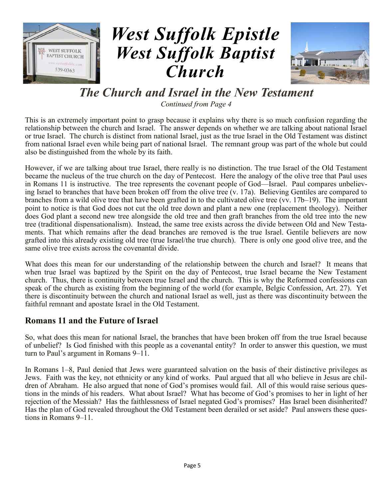![](_page_4_Picture_0.jpeg)

![](_page_4_Picture_2.jpeg)

#### *The Church and Israel in the New Testament Continued from Page 4*

This is an extremely important point to grasp because it explains why there is so much confusion regarding the relationship between the church and Israel. The answer depends on whether we are talking about national Israel or true Israel. The church is distinct from national Israel, just as the true Israel in the Old Testament was distinct from national Israel even while being part of national Israel. The remnant group was part of the whole but could also be distinguished from the whole by its faith.

However, if we are talking about true Israel, there really is no distinction. The true Israel of the Old Testament became the nucleus of the true church on the day of Pentecost. Here the analogy of the olive tree that Paul uses in Romans 11 is instructive. The tree represents the covenant people of God—Israel. Paul compares unbelieving Israel to branches that have been broken off from the olive tree (v. 17a). Believing Gentiles are compared to branches from a wild olive tree that have been grafted in to the cultivated olive tree (vv. 17b–19). The important point to notice is that God does not cut the old tree down and plant a new one (replacement theology). Neither does God plant a second new tree alongside the old tree and then graft branches from the old tree into the new tree (traditional dispensationalism). Instead, the same tree exists across the divide between Old and New Testaments. That which remains after the dead branches are removed is the true Israel. Gentile believers are now grafted into this already existing old tree (true Israel/the true church). There is only one good olive tree, and the same olive tree exists across the covenantal divide.

What does this mean for our understanding of the relationship between the church and Israel? It means that when true Israel was baptized by the Spirit on the day of Pentecost, true Israel became the New Testament church. Thus, there is continuity between true Israel and the church. This is why the Reformed confessions can speak of the church as existing from the beginning of the world (for example, Belgic Confession, Art. 27). Yet there is discontinuity between the church and national Israel as well, just as there was discontinuity between the faithful remnant and apostate Israel in the Old Testament.

#### **Romans 11 and the Future of Israel**

So, what does this mean for national Israel, the branches that have been broken off from the true Israel because of unbelief? Is God finished with this people as a covenantal entity? In order to answer this question, we must turn to Paul's argument in Romans 9–11.

In Romans 1–8, Paul denied that Jews were guaranteed salvation on the basis of their distinctive privileges as Jews. Faith was the key, not ethnicity or any kind of works. Paul argued that all who believe in Jesus are children of Abraham. He also argued that none of God's promises would fail. All of this would raise serious questions in the minds of his readers. What about Israel? What has become of God's promises to her in light of her rejection of the Messiah? Has the faithlessness of Israel negated God's promises? Has Israel been disinherited? Has the plan of God revealed throughout the Old Testament been derailed or set aside? Paul answers these questions in Romans 9–11.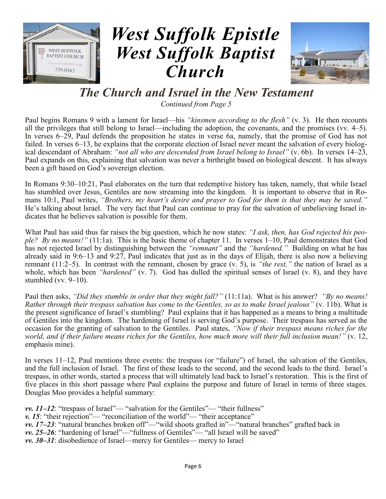![](_page_5_Picture_0.jpeg)

![](_page_5_Picture_2.jpeg)

### *The Church and Israel in the New Testament*

*Continued from Page 5*

Paul begins Romans 9 with a lament for Israel—his *"kinsmen according to the flesh"* (v. 3). He then recounts all the privileges that still belong to Israel—including the adoption, the covenants, and the promises (vv. 4–5). In verses 6–29, Paul defends the proposition he states in verse 6a, namely, that the promise of God has not failed. In verses 6–13, he explains that the corporate election of Israel never meant the salvation of every biological descendant of Abraham: *"not all who are descended from Israel belong to Israel"* (v. 6b). In verses 14–23, Paul expands on this, explaining that salvation was never a birthright based on biological descent. It has always been a gift based on God's sovereign election.

In Romans 9:30–10:21, Paul elaborates on the turn that redemptive history has taken, namely, that while Israel has stumbled over Jesus, Gentiles are now streaming into the kingdom. It is important to observe that in Romans 10:1, Paul writes, *"Brothers, my heart's desire and prayer to God for them is that they may be saved."* He's talking about Israel. The very fact that Paul can continue to pray for the salvation of unbelieving Israel indicates that he believes salvation is possible for them.

What Paul has said thus far raises the big question, which he now states: *"I ask, then, has God rejected his people? By no means!"* (11:1a). This is the basic theme of chapter 11. In verses 1–10, Paul demonstrates that God has not rejected Israel by distinguishing between the *"remnant"* and the *"hardened."* Building on what he has already said in 9:6–13 and 9:27, Paul indicates that just as in the days of Elijah, there is also now a believing remnant (11:2–5). In contrast with the remnant, chosen by grace (v. 5), is *"the rest,"* the nation of Israel as a whole, which has been *"hardened"* (v. 7). God has dulled the spiritual senses of Israel (v. 8), and they have stumbled (vv. 9–10).

Paul then asks, *"Did they stumble in order that they might fall?"* (11:11a). What is his answer? *"By no means! Rather through their trespass salvation has come to the Gentiles, so as to make Israel jealous"* (v. 11b). What is the present significance of Israel's stumbling? Paul explains that it has happened as a means to bring a multitude of Gentiles into the kingdom. The hardening of Israel is serving God's purpose. Their trespass has served as the occasion for the granting of salvation to the Gentiles. Paul states, *"Now if their trespass means riches for the world, and if their failure means riches for the Gentiles, how much more will their full inclusion mean!"* (v. 12, emphasis mine).

In verses 11–12, Paul mentions three events: the trespass (or "failure") of Israel, the salvation of the Gentiles, and the full inclusion of Israel. The first of these leads to the second, and the second leads to the third. Israel's trespass, in other words, started a process that will ultimately lead back to Israel's restoration. This is the first of five places in this short passage where Paul explains the purpose and future of Israel in terms of three stages. Douglas Moo provides a helpful summary:

*vv.* 11–12: "trespass of Israel"— "salvation for the Gentiles"— "their fullness" *v. 15*: "their rejection"— "reconciliation of the world"— "their acceptance" *vv. 17–23*: "natural branches broken off"—"wild shoots grafted in"—"natural branches" grafted back in *vv. 25–26*: "hardening of Israel"—"fullness of Gentiles"— "all Israel will be saved" *vv. 30–31*: disobedience of Israel—mercy for Gentiles— mercy to Israel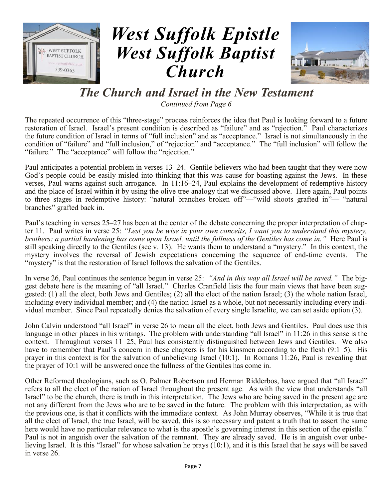![](_page_6_Picture_0.jpeg)

![](_page_6_Picture_2.jpeg)

#### *The Church and Israel in the New Testament Continued from Page 6*

The repeated occurrence of this "three-stage" process reinforces the idea that Paul is looking forward to a future restoration of Israel. Israel's present condition is described as "failure" and as "rejection." Paul characterizes the future condition of Israel in terms of "full inclusion" and as "acceptance." Israel is not simultaneously in the condition of "failure" and "full inclusion," of "rejection" and "acceptance." The "full inclusion" will follow the "failure." The "acceptance" will follow the "rejection."

Paul anticipates a potential problem in verses 13–24. Gentile believers who had been taught that they were now God's people could be easily misled into thinking that this was cause for boasting against the Jews. In these verses, Paul warns against such arrogance. In 11:16–24, Paul explains the development of redemptive history and the place of Israel within it by using the olive tree analogy that we discussed above. Here again, Paul points to three stages in redemptive history: "natural branches broken off"—"wild shoots grafted in"— "natural branches" grafted back in.

Paul's teaching in verses 25–27 has been at the center of the debate concerning the proper interpretation of chapter 11. Paul writes in verse 25: *"Lest you be wise in your own conceits, I want you to understand this mystery, brothers: a partial hardening has come upon Israel, until the fullness of the Gentiles has come in."* Here Paul is still speaking directly to the Gentiles (see v. 13). He wants them to understand a "mystery." In this context, the mystery involves the reversal of Jewish expectations concerning the sequence of end-time events. "mystery" is that the restoration of Israel follows the salvation of the Gentiles.

In verse 26, Paul continues the sentence begun in verse 25: *"And in this way all Israel will be saved."* The biggest debate here is the meaning of "all Israel." Charles Cranfield lists the four main views that have been suggested: (1) all the elect, both Jews and Gentiles; (2) all the elect of the nation Israel; (3) the whole nation Israel, including every individual member; and (4) the nation Israel as a whole, but not necessarily including every individual member. Since Paul repeatedly denies the salvation of every single Israelite, we can set aside option (3).

John Calvin understood "all Israel" in verse 26 to mean all the elect, both Jews and Gentiles. Paul does use this language in other places in his writings. The problem with understanding "all Israel" in 11:26 in this sense is the context. Throughout verses 11–25, Paul has consistently distinguished between Jews and Gentiles. We also have to remember that Paul's concern in these chapters is for his kinsmen according to the flesh (9:1–5). His prayer in this context is for the salvation of unbelieving Israel (10:1). In Romans 11:26, Paul is revealing that the prayer of 10:1 will be answered once the fullness of the Gentiles has come in.

Other Reformed theologians, such as O. Palmer Robertson and Herman Ridderbos, have argued that "all Israel" refers to all the elect of the nation of Israel throughout the present age. As with the view that understands "all Israel" to be the church, there is truth in this interpretation. The Jews who are being saved in the present age are not any different from the Jews who are to be saved in the future. The problem with this interpretation, as with the previous one, is that it conflicts with the immediate context. As John Murray observes, "While it is true that all the elect of Israel, the true Israel, will be saved, this is so necessary and patent a truth that to assert the same here would have no particular relevance to what is the apostle's governing interest in this section of the epistle." Paul is not in anguish over the salvation of the remnant. They are already saved. He is in anguish over unbelieving Israel. It is this "Israel" for whose salvation he prays (10:1), and it is this Israel that he says will be saved in verse 26.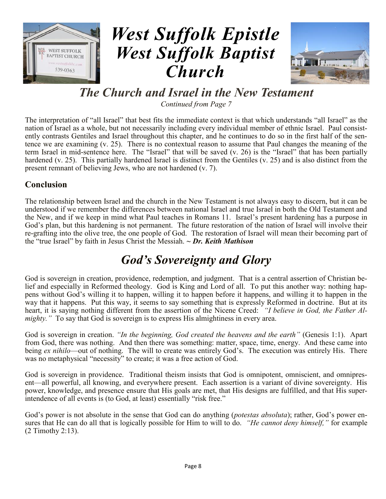![](_page_7_Picture_0.jpeg)

![](_page_7_Picture_2.jpeg)

## *The Church and Israel in the New Testament*

*Continued from Page 7*

The interpretation of "all Israel" that best fits the immediate context is that which understands "all Israel" as the nation of Israel as a whole, but not necessarily including every individual member of ethnic Israel. Paul consistently contrasts Gentiles and Israel throughout this chapter, and he continues to do so in the first half of the sentence we are examining (v. 25). There is no contextual reason to assume that Paul changes the meaning of the term Israel in mid-sentence here. The "Israel" that will be saved (v. 26) is the "Israel" that has been partially hardened (v. 25). This partially hardened Israel is distinct from the Gentiles (v. 25) and is also distinct from the present remnant of believing Jews, who are not hardened (v. 7).

#### **Conclusion**

The relationship between Israel and the church in the New Testament is not always easy to discern, but it can be understood if we remember the differences between national Israel and true Israel in both the Old Testament and the New, and if we keep in mind what Paul teaches in Romans 11. Israel's present hardening has a purpose in God's plan, but this hardening is not permanent. The future restoration of the nation of Israel will involve their re-grafting into the olive tree, the one people of God. The restoration of Israel will mean their becoming part of the "true Israel" by faith in Jesus Christ the Messiah. *~ Dr. Keith Mathison*

### *God's Sovereignty and Glory*

God is sovereign in creation, providence, redemption, and judgment. That is a central assertion of Christian belief and especially in Reformed theology. God is King and Lord of all. To put this another way: nothing happens without God's willing it to happen, willing it to happen before it happens, and willing it to happen in the way that it happens. Put this way, it seems to say something that is expressly Reformed in doctrine. But at its heart, it is saying nothing different from the assertion of the Nicene Creed: *"I believe in God, the Father Almighty.*" To say that God is sovereign is to express His almightiness in every area.

God is sovereign in creation. *"In the beginning, God created the heavens and the earth"* (Genesis 1:1). Apart from God, there was nothing. And then there was something: matter, space, time, energy. And these came into being *ex nihilo*—out of nothing. The will to create was entirely God's. The execution was entirely His. There was no metaphysical "necessity" to create; it was a free action of God.

God is sovereign in providence. Traditional theism insists that God is omnipotent, omniscient, and omnipresent—all powerful, all knowing, and everywhere present. Each assertion is a variant of divine sovereignty. His power, knowledge, and presence ensure that His goals are met, that His designs are fulfilled, and that His superintendence of all events is (to God, at least) essentially "risk free."

God's power is not absolute in the sense that God can do anything (*potestas absoluta*); rather, God's power ensures that He can do all that is logically possible for Him to will to do. *"He cannot deny himself,"* for example (2 Timothy 2:13).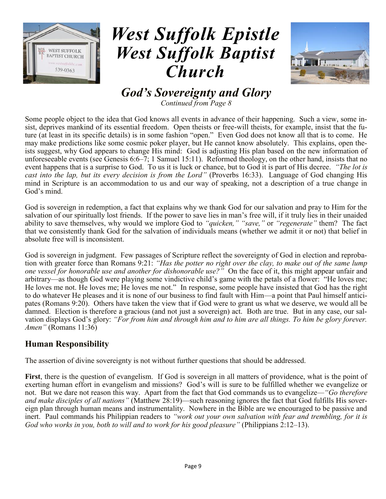![](_page_8_Picture_0.jpeg)

![](_page_8_Picture_2.jpeg)

*God's Sovereignty and Glory*

*Continued from Page 8*

Some people object to the idea that God knows all events in advance of their happening. Such a view, some insist, deprives mankind of its essential freedom. Open theists or free-will theists, for example, insist that the future (at least in its specific details) is in some fashion "open." Even God does not know all that is to come. He may make predictions like some cosmic poker player, but He cannot know absolutely. This explains, open theists suggest, why God appears to change His mind: God is adjusting His plan based on the new information of unforeseeable events (see Genesis 6:6–7; 1 Samuel 15:11). Reformed theology, on the other hand, insists that no event happens that is a surprise to God. To us it is luck or chance, but to God it is part of His decree. *"The lot is cast into the lap, but its every decision is from the Lord"* (Proverbs 16:33). Language of God changing His mind in Scripture is an accommodation to us and our way of speaking, not a description of a true change in God's mind.

God is sovereign in redemption, a fact that explains why we thank God for our salvation and pray to Him for the salvation of our spiritually lost friends. If the power to save lies in man's free will, if it truly lies in their unaided ability to save themselves, why would we implore God to *"quicken," "save,"* or *"regenerate"* them? The fact that we consistently thank God for the salvation of individuals means (whether we admit it or not) that belief in absolute free will is inconsistent.

God is sovereign in judgment. Few passages of Scripture reflect the sovereignty of God in election and reprobation with greater force than Romans 9:21: *"Has the potter no right over the clay, to make out of the same lump one vessel for honorable use and another for dishonorable use?"* On the face of it, this might appear unfair and arbitrary—as though God were playing some vindictive child's game with the petals of a flower: "He loves me; He loves me not. He loves me; He loves me not." In response, some people have insisted that God has the right to do whatever He pleases and it is none of our business to find fault with Him—a point that Paul himself anticipates (Romans 9:20). Others have taken the view that if God were to grant us what we deserve, we would all be damned. Election is therefore a gracious (and not just a sovereign) act. Both are true. But in any case, our salvation displays God's glory: *"For from him and through him and to him are all things. To him be glory forever. Amen"* (Romans 11:36)

#### **Human Responsibility**

The assertion of divine sovereignty is not without further questions that should be addressed.

**First**, there is the question of evangelism. If God is sovereign in all matters of providence, what is the point of exerting human effort in evangelism and missions? God's will is sure to be fulfilled whether we evangelize or not. But we dare not reason this way. Apart from the fact that God commands us to evangelize*—"Go therefore and make disciples of all nations"* (Matthew 28:19)—such reasoning ignores the fact that God fulfills His sovereign plan through human means and instrumentality. Nowhere in the Bible are we encouraged to be passive and inert. Paul commands his Philippian readers to *"work out your own salvation with fear and trembling, for it is God who works in you, both to will and to work for his good pleasure"* (Philippians 2:12–13).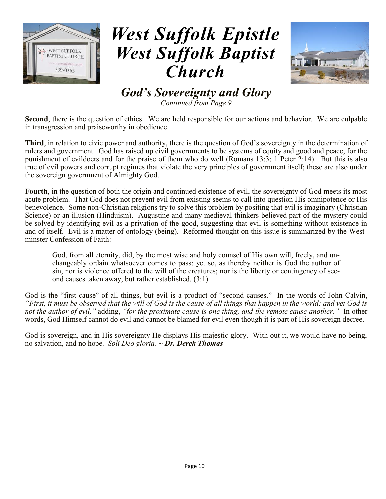![](_page_9_Picture_0.jpeg)

![](_page_9_Picture_2.jpeg)

### *God's Sovereignty and Glory*

*Continued from Page 9*

**Second**, there is the question of ethics. We are held responsible for our actions and behavior. We are culpable in transgression and praiseworthy in obedience.

**Third**, in relation to civic power and authority, there is the question of God's sovereignty in the determination of rulers and government. God has raised up civil governments to be systems of equity and good and peace, for the punishment of evildoers and for the praise of them who do well (Romans 13:3; 1 Peter 2:14). But this is also true of evil powers and corrupt regimes that violate the very principles of government itself; these are also under the sovereign government of Almighty God.

**Fourth**, in the question of both the origin and continued existence of evil, the sovereignty of God meets its most acute problem. That God does not prevent evil from existing seems to call into question His omnipotence or His benevolence. Some non-Christian religions try to solve this problem by positing that evil is imaginary (Christian Science) or an illusion (Hinduism). Augustine and many medieval thinkers believed part of the mystery could be solved by identifying evil as a privation of the good, suggesting that evil is something without existence in and of itself. Evil is a matter of ontology (being). Reformed thought on this issue is summarized by the Westminster Confession of Faith:

God, from all eternity, did, by the most wise and holy counsel of His own will, freely, and unchangeably ordain whatsoever comes to pass: yet so, as thereby neither is God the author of sin, nor is violence offered to the will of the creatures; nor is the liberty or contingency of second causes taken away, but rather established. (3:1)

God is the "first cause" of all things, but evil is a product of "second causes." In the words of John Calvin, *"First, it must be observed that the will of God is the cause of all things that happen in the world: and yet God is not the author of evil,"* adding, *"for the proximate cause is one thing, and the remote cause another."* In other words, God Himself cannot do evil and cannot be blamed for evil even though it is part of His sovereign decree.

God is sovereign, and in His sovereignty He displays His majestic glory. With out it, we would have no being, no salvation, and no hope. *Soli Deo gloria. ~ Dr. Derek Thomas*